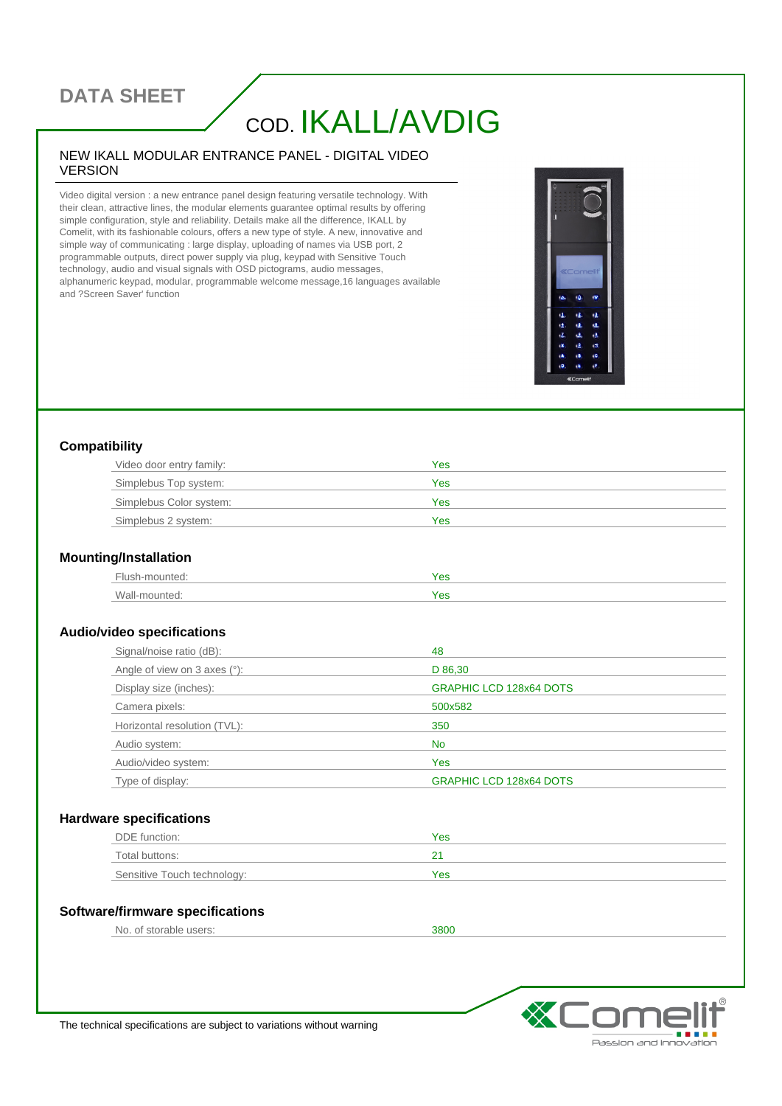## **DATA SHEET**

# COD. IKALL/AVDIG

#### NEW IKALL MODULAR ENTRANCE PANEL - DIGITAL VIDEO VERSION

Video digital version : a new entrance panel design featuring versatile technology. With their clean, attractive lines, the modular elements guarantee optimal results by offering simple configuration, style and reliability. Details make all the difference, IKALL by Comelit, with its fashionable colours, offers a new type of style. A new, innovative and simple way of communicating : large display, uploading of names via USB port, 2 programmable outputs, direct power supply via plug, keypad with Sensitive Touch technology, audio and visual signals with OSD pictograms, audio messages, alphanumeric keypad, modular, programmable welcome message,16 languages available and ?Screen Saver' function



#### **Compatibility**

| Video door entry family: | Yes |
|--------------------------|-----|
| Simplebus Top system:    | Yes |
| Simplebus Color system:  | Yes |
| Simplebus 2 system:      | Yes |

#### **Mounting/Installation**

| Flush-mounted: | Yes |
|----------------|-----|
| Wall-mounted:  | Yes |

#### **Audio/video specifications**

| Signal/noise ratio (dB):        | 48                             |
|---------------------------------|--------------------------------|
| Angle of view on 3 axes $(°)$ : | D 86,30                        |
| Display size (inches):          | <b>GRAPHIC LCD 128x64 DOTS</b> |
| Camera pixels:                  | 500x582                        |
| Horizontal resolution (TVL):    | 350                            |
| Audio system:                   | No.                            |
| Audio/video system:             | Yes                            |
| Type of display:                | <b>GRAPHIC LCD 128x64 DOTS</b> |

#### **Hardware specifications**

| DDE function:               | Yes |
|-----------------------------|-----|
| Total buttons:              |     |
| Sensitive Touch technology: | Yes |

#### **Software/firmware specifications**

```
No. of storable users: 3800
```


The technical specifications are subject to variations without warning